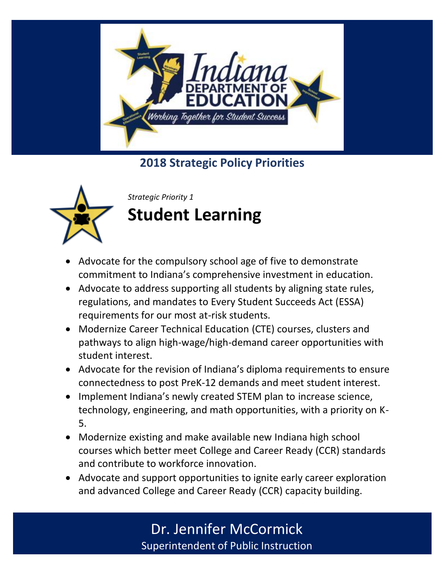

**2018 Strategic Policy Priorities** 



*Strategic Priority 1* **Student Learning** 

- Advocate for the compulsory school age of five to demonstrate commitment to Indiana's comprehensive investment in education.
- Advocate to address supporting all students by aligning state rules, regulations, and mandates to Every Student Succeeds Act (ESSA) requirements for our most at-risk students.
- Modernize Career Technical Education (CTE) courses, clusters and pathways to align high-wage/high-demand career opportunities with student interest.
- Advocate for the revision of Indiana's diploma requirements to ensure connectedness to post PreK-12 demands and meet student interest.
- Implement Indiana's newly created STEM plan to increase science, technology, engineering, and math opportunities, with a priority on K-5.
- Modernize existing and make available new Indiana high school courses which better meet College and Career Ready (CCR) standards and contribute to workforce innovation.
- Advocate and support opportunities to ignite early career exploration and advanced College and Career Ready (CCR) capacity building.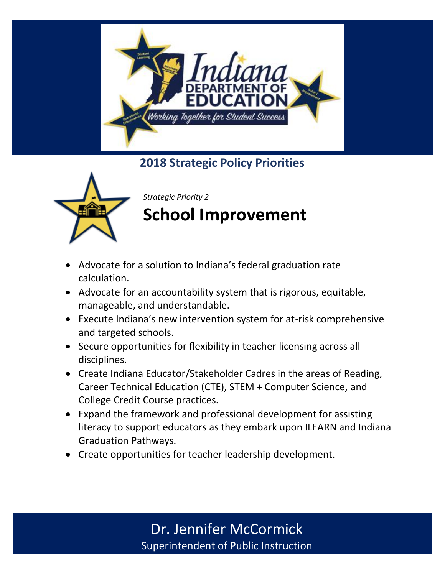

**2018 Strategic Policy Priorities** 



*Strategic Priority 2*

## **School Improvement**

- Advocate for a solution to Indiana's federal graduation rate calculation.
- Advocate for an accountability system that is rigorous, equitable, manageable, and understandable.
- Execute Indiana's new intervention system for at-risk comprehensive and targeted schools.
- Secure opportunities for flexibility in teacher licensing across all disciplines.
- Create Indiana Educator/Stakeholder Cadres in the areas of Reading, Career Technical Education (CTE), STEM + Computer Science, and College Credit Course practices.
- Expand the framework and professional development for assisting literacy to support educators as they embark upon ILEARN and Indiana Graduation Pathways.
- Create opportunities for teacher leadership development.

Dr. Jennifer McCormick Superintendent of Public Instruction